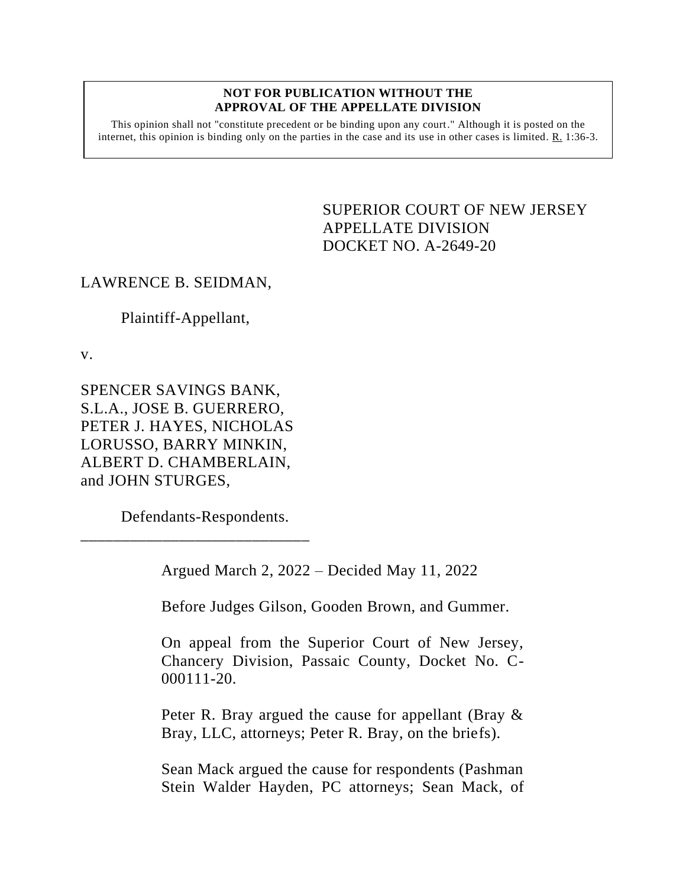## **NOT FOR PUBLICATION WITHOUT THE APPROVAL OF THE APPELLATE DIVISION**

This opinion shall not "constitute precedent or be binding upon any court." Although it is posted on the internet, this opinion is binding only on the parties in the case and its use in other cases is limited.  $R_1$  1:36-3.

> <span id="page-0-0"></span>SUPERIOR COURT OF NEW JERSEY APPELLATE DIVISION DOCKET NO. A-2649-20

## LAWRENCE B. SEIDMAN,

Plaintiff-Appellant,

v.

SPENCER SAVINGS BANK, S.L.A., JOSE B. GUERRERO, PETER J. HAYES, NICHOLAS LORUSSO, BARRY MINKIN, ALBERT D. CHAMBERLAIN, and JOHN STURGES,

Defendants-Respondents.

\_\_\_\_\_\_\_\_\_\_\_\_\_\_\_\_\_\_\_\_\_\_\_\_\_\_\_\_

Argued March 2, 2022 – Decided May 11, 2022

Before Judges Gilson, Gooden Brown, and Gummer.

On appeal from the Superior Court of New Jersey, Chancery Division, Passaic County, Docket No. C-000111-20.

Peter R. Bray argued the cause for appellant (Bray & Bray, LLC, attorneys; Peter R. Bray, on the briefs).

Sean Mack argued the cause for respondents (Pashman Stein Walder Hayden, PC attorneys; Sean Mack, of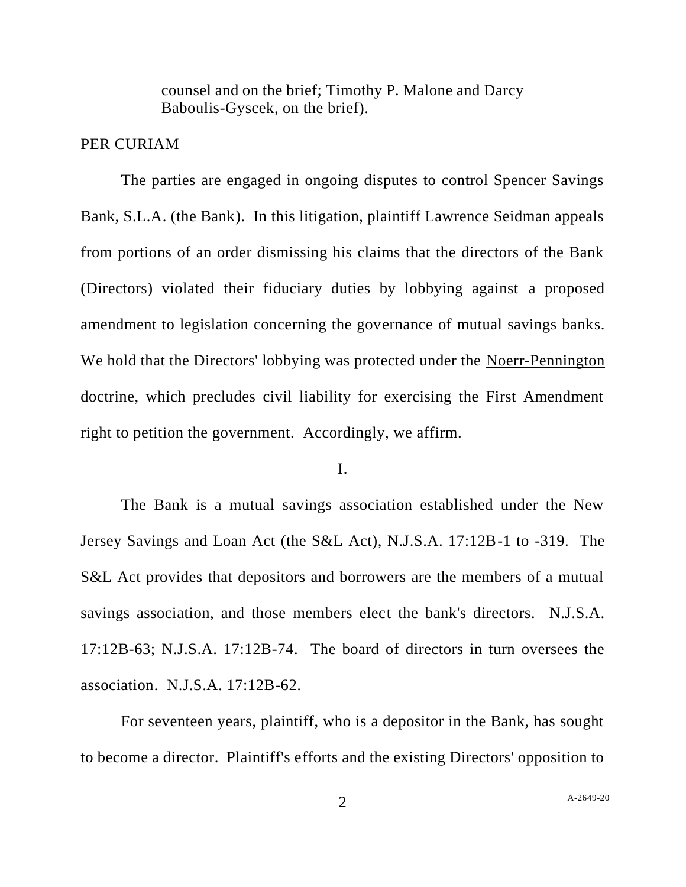counsel and on the brief; Timothy P. Malone and Darcy Baboulis-Gyscek, on the brief).

## PER CURIAM

The parties are engaged in ongoing disputes to control Spencer Savings Bank, S.L.A. (the Bank). In this litigation, plaintiff Lawrence Seidman appeals from portions of an order dismissing his claims that the directors of the Bank (Directors) violated their fiduciary duties by lobbying against a proposed amendment to legislation concerning the governance of mutual savings banks. We hold that the Directors' lobbying was protected under the Noerr-Pennington doctrine, which precludes civil liability for exercising the First Amendment right to petition the government. Accordingly, we affirm.

## I.

The Bank is a mutual savings association established under the New Jersey Savings and Loan Act (the S&L Act), N.J.S.A. 17:12B-1 to -319. The S&L Act provides that depositors and borrowers are the members of a mutual savings association, and those members elect the bank's directors. N.J.S.A. 17:12B-63; N.J.S.A. 17:12B-74. The board of directors in turn oversees the association. N.J.S.A. 17:12B-62.

For seventeen years, plaintiff, who is a depositor in the Bank, has sought to become a director. Plaintiff's efforts and the existing Directors' opposition to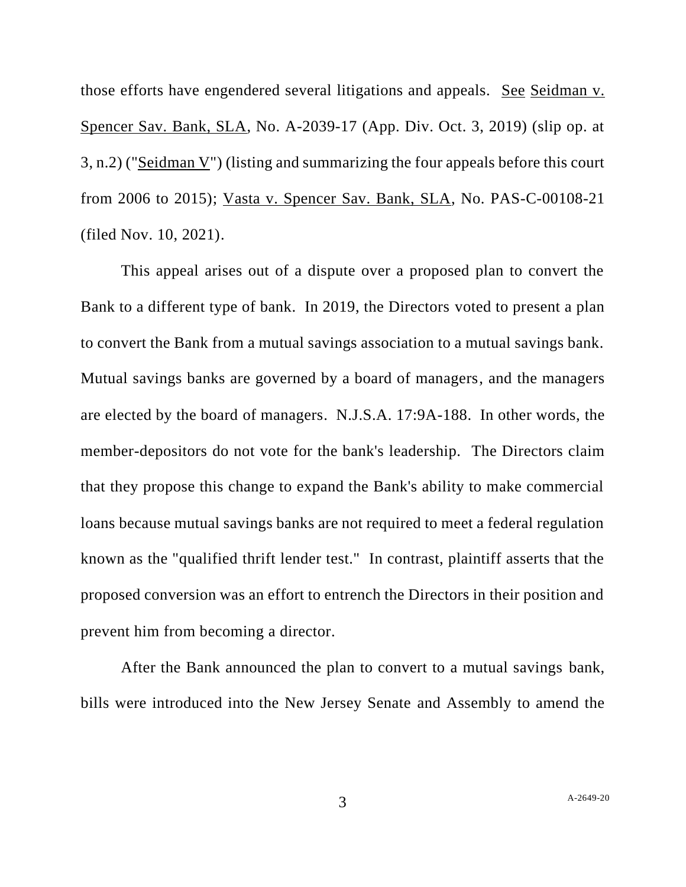those efforts have engendered several litigations and appeals. See Seidman v. Spencer Sav. Bank, SLA, No. A-2039-17 (App. Div. Oct. 3, 2019) (slip op. at 3, n.2) ("Seidman V") (listing and summarizing the four appeals before this court from 2006 to 2015); Vasta v. Spencer Sav. Bank, SLA, No. PAS-C-00108-21 (filed Nov. 10, 2021).

This appeal arises out of a dispute over a proposed plan to convert the Bank to a different type of bank. In 2019, the Directors voted to present a plan to convert the Bank from a mutual savings association to a mutual savings bank. Mutual savings banks are governed by a board of managers, and the managers are elected by the board of managers. N.J.S.A. 17:9A-188. In other words, the member-depositors do not vote for the bank's leadership. The Directors claim that they propose this change to expand the Bank's ability to make commercial loans because mutual savings banks are not required to meet a federal regulation known as the "qualified thrift lender test." In contrast, plaintiff asserts that the proposed conversion was an effort to entrench the Directors in their position and prevent him from becoming a director.

After the Bank announced the plan to convert to a mutual savings bank, bills were introduced into the New Jersey Senate and Assembly to amend the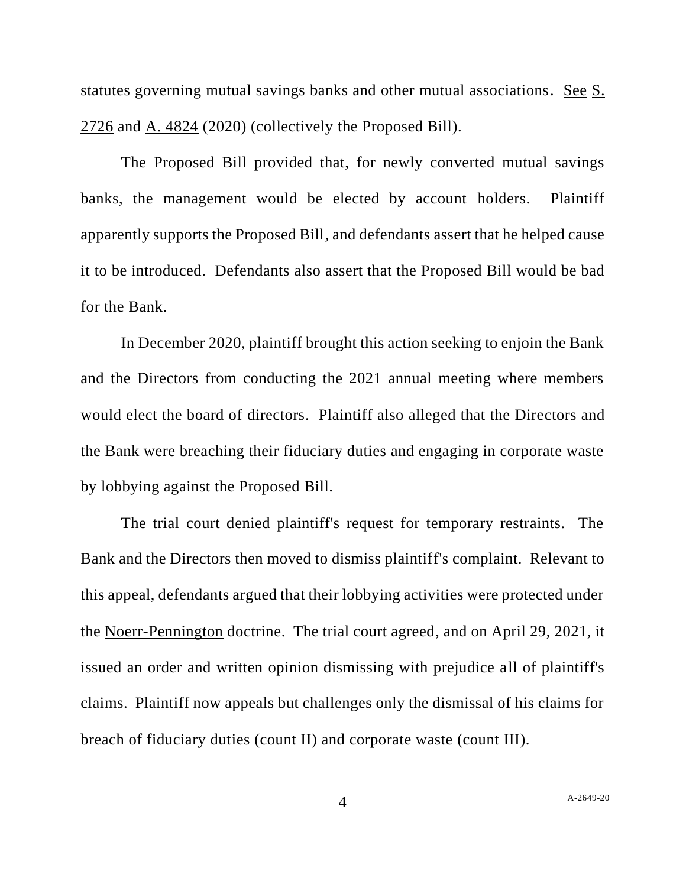statutes governing mutual savings banks and other mutual associations. See S. 2726 and A. 4824 (2020) (collectively the Proposed Bill).

The Proposed Bill provided that, for newly converted mutual savings banks, the management would be elected by account holders. Plaintiff apparently supports the Proposed Bill, and defendants assert that he helped cause it to be introduced. Defendants also assert that the Proposed Bill would be bad for the Bank.

In December 2020, plaintiff brought this action seeking to enjoin the Bank and the Directors from conducting the 2021 annual meeting where members would elect the board of directors. Plaintiff also alleged that the Directors and the Bank were breaching their fiduciary duties and engaging in corporate waste by lobbying against the Proposed Bill.

The trial court denied plaintiff's request for temporary restraints. The Bank and the Directors then moved to dismiss plaintiff's complaint. Relevant to this appeal, defendants argued that their lobbying activities were protected under the Noerr-Pennington doctrine. The trial court agreed, and on April 29, 2021, it issued an order and written opinion dismissing with prejudice all of plaintiff's claims. Plaintiff now appeals but challenges only the dismissal of his claims for breach of fiduciary duties (count II) and corporate waste (count III).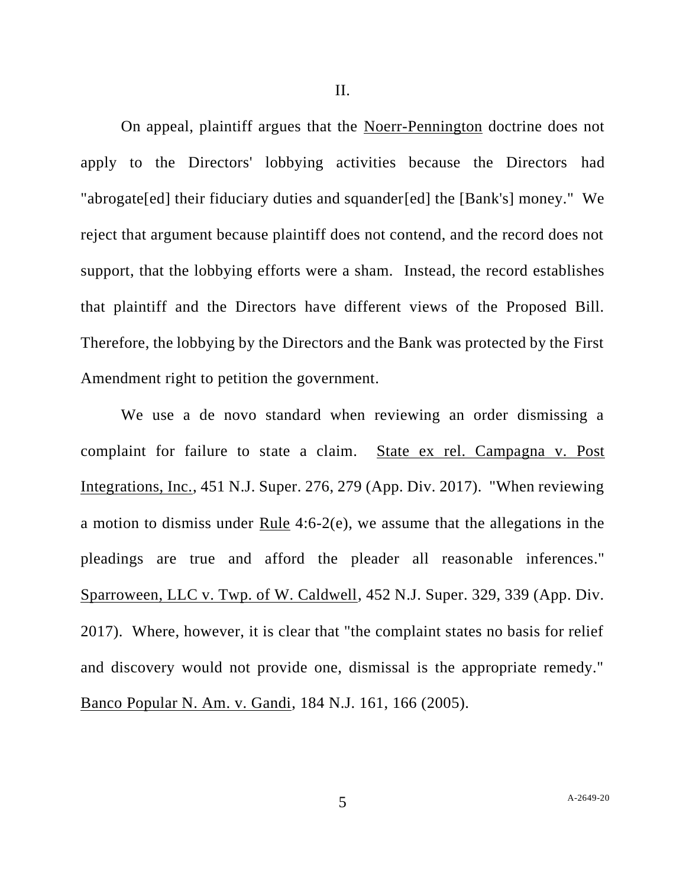On appeal, plaintiff argues that the Noerr-Pennington doctrine does not apply to the Directors' lobbying activities because the Directors had "abrogate[ed] their fiduciary duties and squander[ed] the [Bank's] money." We reject that argument because plaintiff does not contend, and the record does not support, that the lobbying efforts were a sham. Instead, the record establishes that plaintiff and the Directors have different views of the Proposed Bill. Therefore, the lobbying by the Directors and the Bank was protected by the First Amendment right to petition the government.

We use a de novo standard when reviewing an order dismissing a complaint for failure to state a claim. State ex rel. Campagna v. Post Integrations, Inc., 451 N.J. Super. 276, 279 (App. Div. 2017). "When reviewing a motion to dismiss under Rule 4:6-2(e), we assume that the allegations in the pleadings are true and afford the pleader all reasonable inferences." Sparroween, LLC v. Twp. of W. Caldwell, 452 N.J. Super. 329, 339 (App. Div. 2017). Where, however, it is clear that "the complaint states no basis for relief and discovery would not provide one, dismissal is the appropriate remedy." Banco Popular N. Am. v. Gandi, 184 N.J. 161, 166 (2005).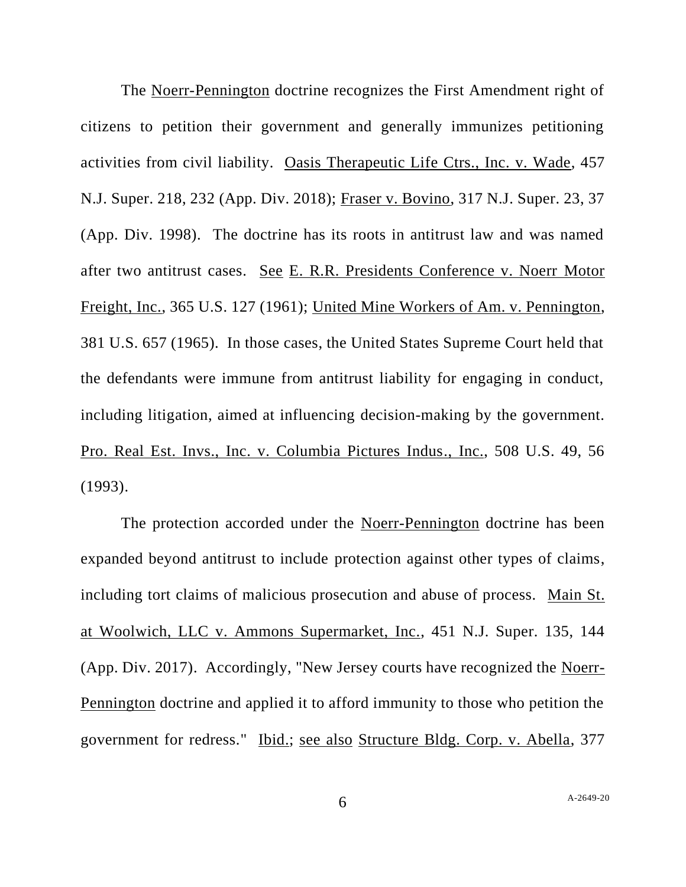The Noerr-Pennington doctrine recognizes the First Amendment right of citizens to petition their government and generally immunizes petitioning activities from civil liability. Oasis Therapeutic Life Ctrs., Inc. v. Wade, 457 N.J. Super. 218, 232 (App. Div. 2018); Fraser v. Bovino, 317 N.J. Super. 23, 37 (App. Div. 1998). The doctrine has its roots in antitrust law and was named after two antitrust cases. See E. R.R. Presidents Conference v. Noerr Motor Freight, Inc., 365 U.S. 127 (1961); United Mine Workers of Am. v. Pennington, 381 U.S. 657 (1965). In those cases, the United States Supreme Court held that the defendants were immune from antitrust liability for engaging in conduct, including litigation, aimed at influencing decision-making by the government. Pro. Real Est. Invs., Inc. v. Columbia Pictures Indus., Inc., 508 U.S. 49, 56 (1993).

The protection accorded under the Noerr-Pennington doctrine has been expanded beyond antitrust to include protection against other types of claims, including tort claims of malicious prosecution and abuse of process. Main St. at Woolwich, LLC v. Ammons Supermarket, Inc., 451 N.J. Super. 135, 144 (App. Div. 2017). Accordingly, "New Jersey courts have recognized the Noerr-Pennington doctrine and applied it to afford immunity to those who petition the government for redress." Ibid.; see also Structure Bldg. Corp. v. Abella, 377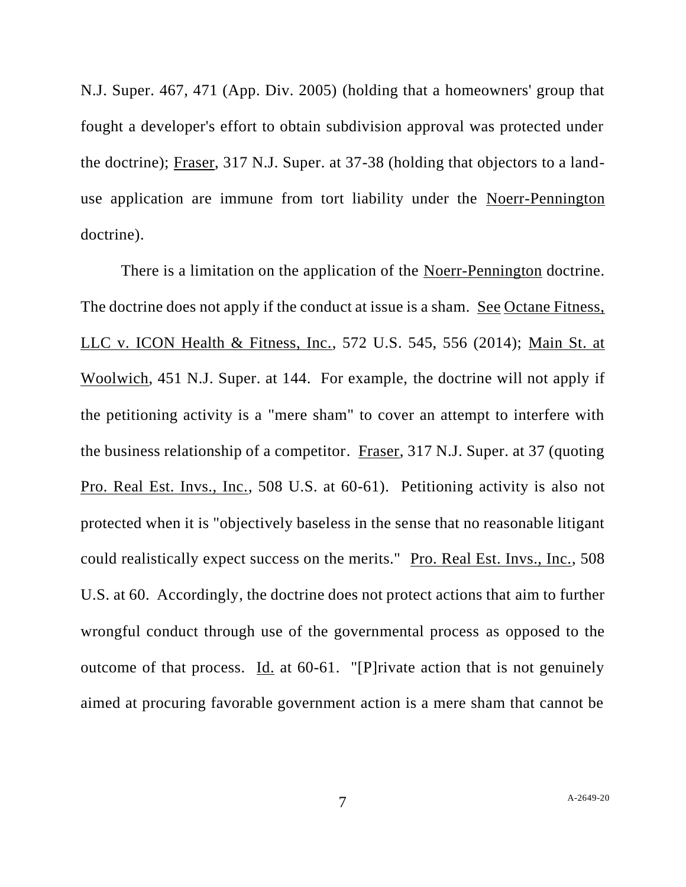N.J. Super. 467, 471 (App. Div. 2005) (holding that a homeowners' group that fought a developer's effort to obtain subdivision approval was protected under the doctrine); Fraser, 317 N.J. Super. at 37-38 (holding that objectors to a landuse application are immune from tort liability under the Noerr-Pennington doctrine).

There is a limitation on the application of the Noerr-Pennington doctrine. The doctrine does not apply if the conduct at issue is a sham. See Octane Fitness, LLC v. ICON Health & Fitness, Inc., 572 U.S. 545, 556 (2014); Main St. at Woolwich, 451 N.J. Super. at 144. For example, the doctrine will not apply if the petitioning activity is a "mere sham" to cover an attempt to interfere with the business relationship of a competitor. Fraser, 317 N.J. Super. at 37 (quoting Pro. Real Est. Invs., Inc., 508 U.S. at 60-61). Petitioning activity is also not protected when it is "objectively baseless in the sense that no reasonable litigant could realistically expect success on the merits." Pro. Real Est. Invs., Inc., 508 U.S. at 60. Accordingly, the doctrine does not protect actions that aim to further wrongful conduct through use of the governmental process as opposed to the outcome of that process. Id. at 60-61. "[P]rivate action that is not genuinely aimed at procuring favorable government action is a mere sham that cannot be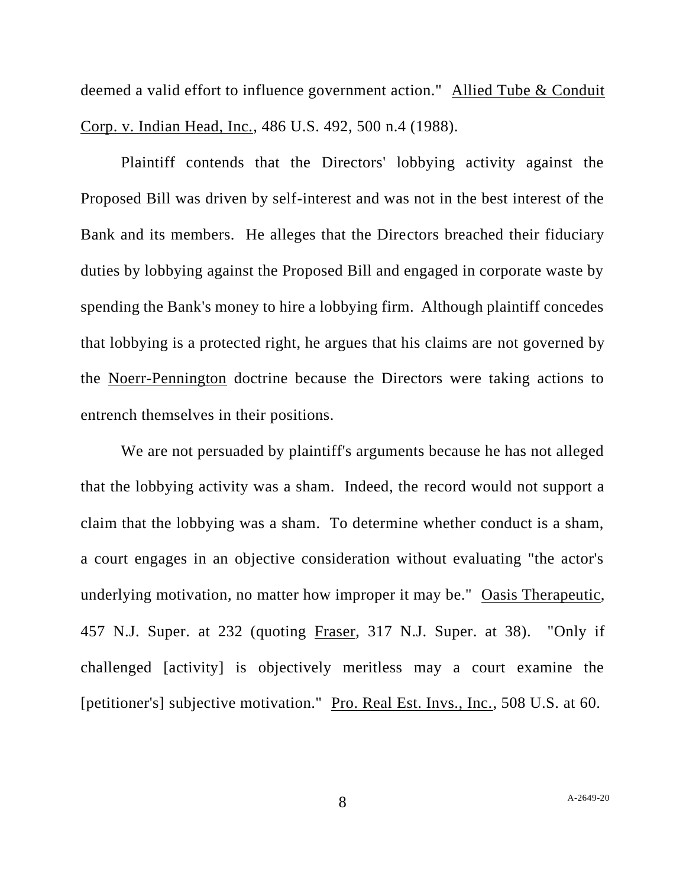deemed a valid effort to influence government action." Allied Tube & Conduit Corp. v. Indian Head, Inc., 486 U.S. 492, 500 n.4 (1988).

Plaintiff contends that the Directors' lobbying activity against the Proposed Bill was driven by self-interest and was not in the best interest of the Bank and its members. He alleges that the Directors breached their fiduciary duties by lobbying against the Proposed Bill and engaged in corporate waste by spending the Bank's money to hire a lobbying firm. Although plaintiff concedes that lobbying is a protected right, he argues that his claims are not governed by the Noerr-Pennington doctrine because the Directors were taking actions to entrench themselves in their positions.

We are not persuaded by plaintiff's arguments because he has not alleged that the lobbying activity was a sham. Indeed, the record would not support a claim that the lobbying was a sham. To determine whether conduct is a sham, a court engages in an objective consideration without evaluating "the actor's underlying motivation, no matter how improper it may be." Oasis Therapeutic, 457 N.J. Super. at 232 (quoting Fraser, 317 N.J. Super. at 38). "Only if challenged [activity] is objectively meritless may a court examine the [petitioner's] subjective motivation." Pro. Real Est. Invs., Inc., 508 U.S. at 60.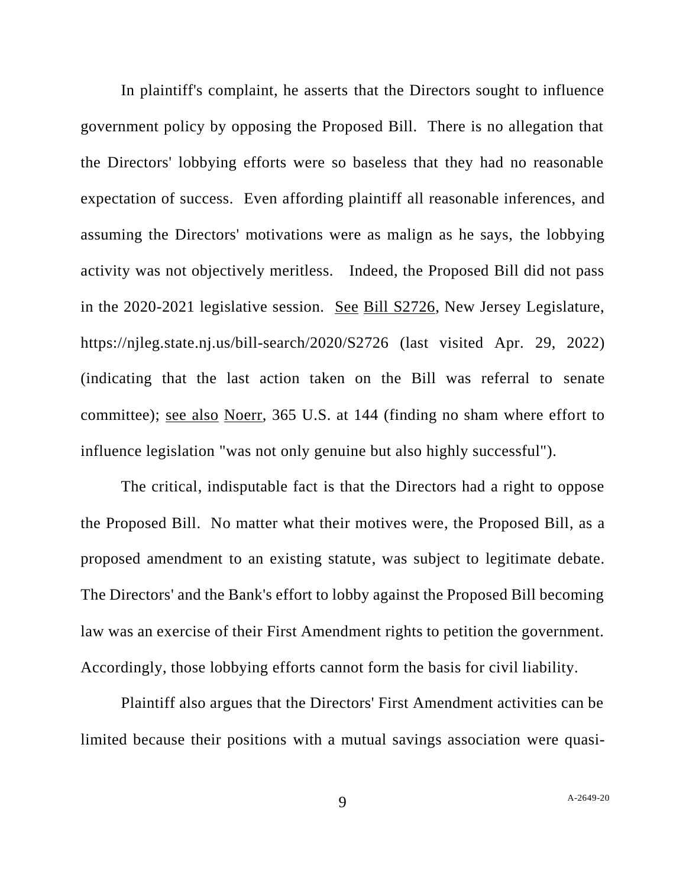In plaintiff's complaint, he asserts that the Directors sought to influence government policy by opposing the Proposed Bill. There is no allegation that the Directors' lobbying efforts were so baseless that they had no reasonable expectation of success. Even affording plaintiff all reasonable inferences, and assuming the Directors' motivations were as malign as he says, the lobbying activity was not objectively meritless. Indeed, the Proposed Bill did not pass in the 2020-2021 legislative session. See Bill S2726, New Jersey Legislature, https://njleg.state.nj.us/bill-search/2020/S2726 (last visited Apr. 29, 2022) (indicating that the last action taken on the Bill was referral to senate committee); see also Noerr, 365 U.S. at 144 (finding no sham where effort to influence legislation "was not only genuine but also highly successful").

The critical, indisputable fact is that the Directors had a right to oppose the Proposed Bill. No matter what their motives were, the Proposed Bill, as a proposed amendment to an existing statute, was subject to legitimate debate. The Directors' and the Bank's effort to lobby against the Proposed Bill becoming law was an exercise of their First Amendment rights to petition the government. Accordingly, those lobbying efforts cannot form the basis for civil liability.

Plaintiff also argues that the Directors' First Amendment activities can be limited because their positions with a mutual savings association were quasi